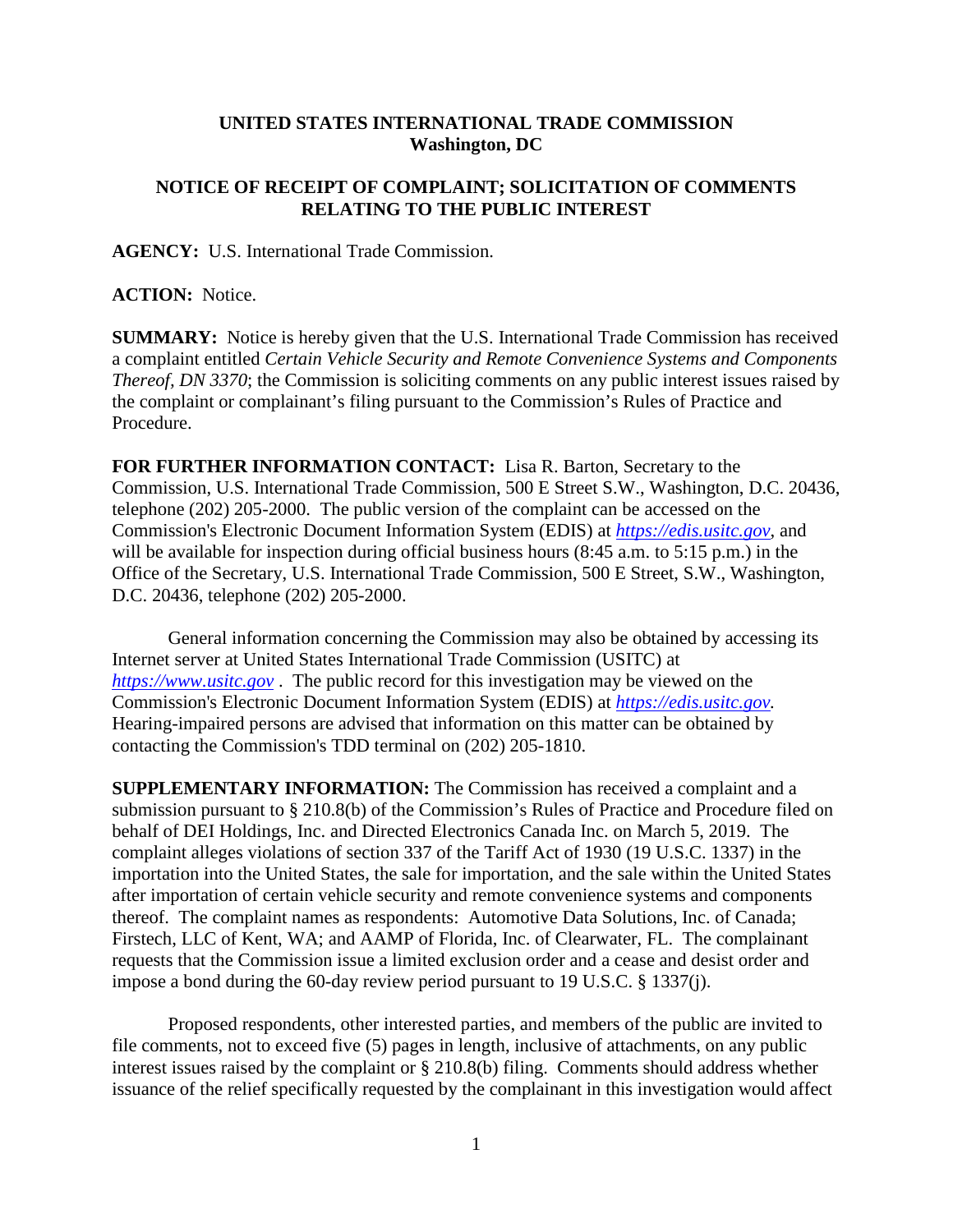## **UNITED STATES INTERNATIONAL TRADE COMMISSION Washington, DC**

## **NOTICE OF RECEIPT OF COMPLAINT; SOLICITATION OF COMMENTS RELATING TO THE PUBLIC INTEREST**

**AGENCY:** U.S. International Trade Commission.

**ACTION:** Notice.

**SUMMARY:** Notice is hereby given that the U.S. International Trade Commission has received a complaint entitled *Certain Vehicle Security and Remote Convenience Systems and Components Thereof, DN 3370*; the Commission is soliciting comments on any public interest issues raised by the complaint or complainant's filing pursuant to the Commission's Rules of Practice and Procedure.

**FOR FURTHER INFORMATION CONTACT:** Lisa R. Barton, Secretary to the Commission, U.S. International Trade Commission, 500 E Street S.W., Washington, D.C. 20436, telephone (202) 205-2000. The public version of the complaint can be accessed on the Commission's Electronic Document Information System (EDIS) at *[https://edis.usitc.gov](https://edis.usitc.gov/)*, and will be available for inspection during official business hours (8:45 a.m. to 5:15 p.m.) in the Office of the Secretary, U.S. International Trade Commission, 500 E Street, S.W., Washington, D.C. 20436, telephone (202) 205-2000.

General information concerning the Commission may also be obtained by accessing its Internet server at United States International Trade Commission (USITC) at *[https://www.usitc.gov](https://www.usitc.gov/)* . The public record for this investigation may be viewed on the Commission's Electronic Document Information System (EDIS) at *[https://edis.usitc.gov.](https://edis.usitc.gov/)* Hearing-impaired persons are advised that information on this matter can be obtained by contacting the Commission's TDD terminal on (202) 205-1810.

**SUPPLEMENTARY INFORMATION:** The Commission has received a complaint and a submission pursuant to § 210.8(b) of the Commission's Rules of Practice and Procedure filed on behalf of DEI Holdings, Inc. and Directed Electronics Canada Inc. on March 5, 2019. The complaint alleges violations of section 337 of the Tariff Act of 1930 (19 U.S.C. 1337) in the importation into the United States, the sale for importation, and the sale within the United States after importation of certain vehicle security and remote convenience systems and components thereof. The complaint names as respondents: Automotive Data Solutions, Inc. of Canada; Firstech, LLC of Kent, WA; and AAMP of Florida, Inc. of Clearwater, FL. The complainant requests that the Commission issue a limited exclusion order and a cease and desist order and impose a bond during the 60-day review period pursuant to 19 U.S.C. § 1337(j).

Proposed respondents, other interested parties, and members of the public are invited to file comments, not to exceed five (5) pages in length, inclusive of attachments, on any public interest issues raised by the complaint or § 210.8(b) filing. Comments should address whether issuance of the relief specifically requested by the complainant in this investigation would affect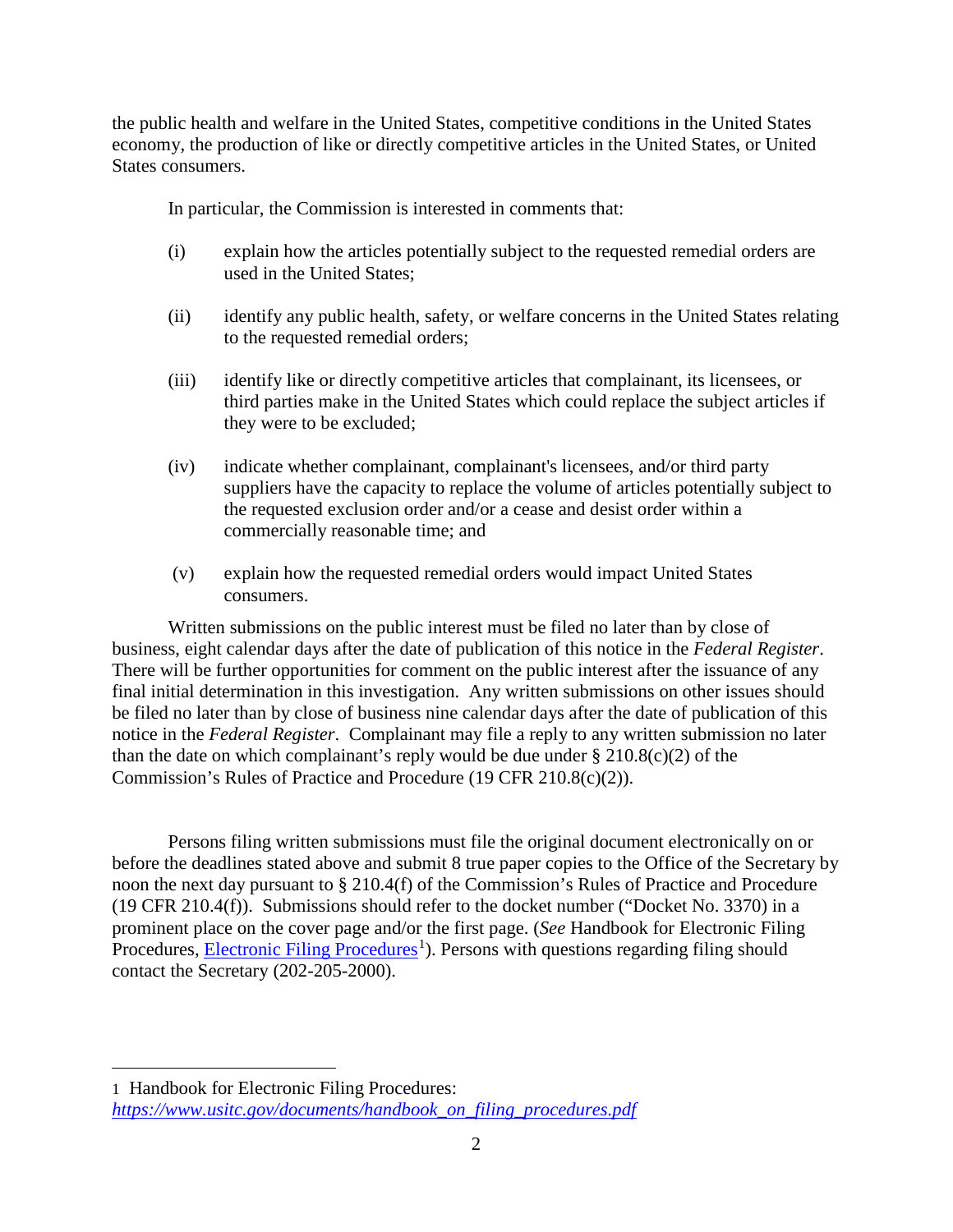the public health and welfare in the United States, competitive conditions in the United States economy, the production of like or directly competitive articles in the United States, or United States consumers.

In particular, the Commission is interested in comments that:

- (i) explain how the articles potentially subject to the requested remedial orders are used in the United States;
- (ii) identify any public health, safety, or welfare concerns in the United States relating to the requested remedial orders;
- (iii) identify like or directly competitive articles that complainant, its licensees, or third parties make in the United States which could replace the subject articles if they were to be excluded;
- (iv) indicate whether complainant, complainant's licensees, and/or third party suppliers have the capacity to replace the volume of articles potentially subject to the requested exclusion order and/or a cease and desist order within a commercially reasonable time; and
- (v) explain how the requested remedial orders would impact United States consumers.

Written submissions on the public interest must be filed no later than by close of business, eight calendar days after the date of publication of this notice in the *Federal Register*. There will be further opportunities for comment on the public interest after the issuance of any final initial determination in this investigation. Any written submissions on other issues should be filed no later than by close of business nine calendar days after the date of publication of this notice in the *Federal Register*. Complainant may file a reply to any written submission no later than the date on which complainant's reply would be due under  $\S$  210.8(c)(2) of the Commission's Rules of Practice and Procedure (19 CFR 210.8(c)(2)).

Persons filing written submissions must file the original document electronically on or before the deadlines stated above and submit 8 true paper copies to the Office of the Secretary by noon the next day pursuant to § 210.4(f) of the Commission's Rules of Practice and Procedure (19 CFR 210.4(f)). Submissions should refer to the docket number ("Docket No. 3370) in a prominent place on the cover page and/or the first page. (*See* Handbook for Electronic Filing Procedures, **Electronic Filing Procedures**<sup>[1](#page-1-0)</sup>). Persons with questions regarding filing should contact the Secretary (202-205-2000).

 $\overline{a}$ 

<span id="page-1-0"></span><sup>1</sup> Handbook for Electronic Filing Procedures: *[https://www.usitc.gov/documents/handbook\\_on\\_filing\\_procedures.pdf](https://www.usitc.gov/documents/handbook_on_filing_procedures.pdf)*